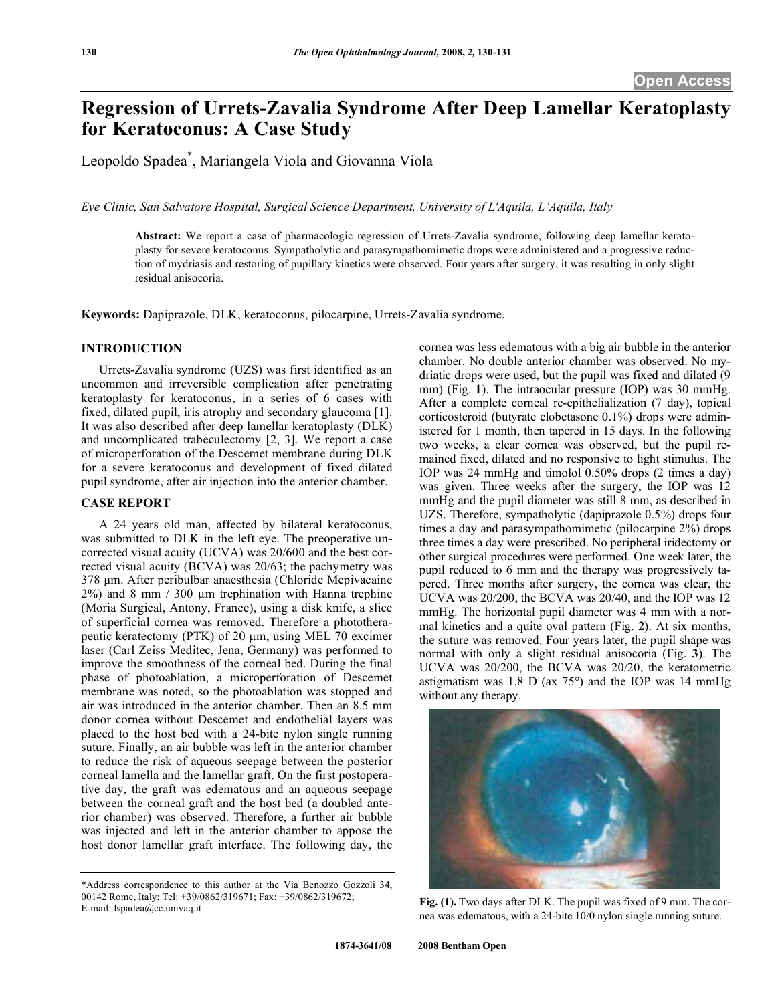# **Regression of Urrets-Zavalia Syndrome After Deep Lamellar Keratoplasty for Keratoconus: A Case Study**

Leopoldo Spadea\* , Mariangela Viola and Giovanna Viola

*Eye Clinic, San Salvatore Hospital, Surgical Science Department, University of L'Aquila, L'Aquila, Italy* 

**Abstract:** We report a case of pharmacologic regression of Urrets-Zavalia syndrome, following deep lamellar keratoplasty for severe keratoconus. Sympatholytic and parasympathomimetic drops were administered and a progressive reduction of mydriasis and restoring of pupillary kinetics were observed. Four years after surgery, it was resulting in only slight residual anisocoria.

**Keywords:** Dapiprazole, DLK, keratoconus, pilocarpine, Urrets-Zavalia syndrome.

#### **INTRODUCTION**

 Urrets-Zavalia syndrome (UZS) was first identified as an uncommon and irreversible complication after penetrating keratoplasty for keratoconus, in a series of 6 cases with fixed, dilated pupil, iris atrophy and secondary glaucoma [1]. It was also described after deep lamellar keratoplasty (DLK) and uncomplicated trabeculectomy [2, 3]. We report a case of microperforation of the Descemet membrane during DLK for a severe keratoconus and development of fixed dilated pupil syndrome, after air injection into the anterior chamber.

### **CASE REPORT**

 A 24 years old man, affected by bilateral keratoconus, was submitted to DLK in the left eye. The preoperative uncorrected visual acuity (UCVA) was 20/600 and the best corrected visual acuity (BCVA) was 20/63; the pachymetry was 378 μm. After peribulbar anaesthesia (Chloride Mepivacaine  $2\%$ ) and 8 mm / 300 µm trephination with Hanna trephine (Moria Surgical, Antony, France), using a disk knife, a slice of superficial cornea was removed. Therefore a phototherapeutic keratectomy (PTK) of 20  $\mu$ m, using MEL 70 excimer laser (Carl Zeiss Meditec, Jena, Germany) was performed to improve the smoothness of the corneal bed. During the final phase of photoablation, a microperforation of Descemet membrane was noted, so the photoablation was stopped and air was introduced in the anterior chamber. Then an 8.5 mm donor cornea without Descemet and endothelial layers was placed to the host bed with a 24-bite nylon single running suture. Finally, an air bubble was left in the anterior chamber to reduce the risk of aqueous seepage between the posterior corneal lamella and the lamellar graft. On the first postoperative day, the graft was edematous and an aqueous seepage between the corneal graft and the host bed (a doubled anterior chamber) was observed. Therefore, a further air bubble was injected and left in the anterior chamber to appose the host donor lamellar graft interface. The following day, the

cornea was less edematous with a big air bubble in the anterior chamber. No double anterior chamber was observed. No mydriatic drops were used, but the pupil was fixed and dilated (9 mm) (Fig. **1**). The intraocular pressure (IOP) was 30 mmHg. After a complete corneal re-epithelialization (7 day), topical corticosteroid (butyrate clobetasone 0.1%) drops were administered for 1 month, then tapered in 15 days. In the following two weeks, a clear cornea was observed, but the pupil remained fixed, dilated and no responsive to light stimulus. The IOP was 24 mmHg and timolol 0.50% drops (2 times a day) was given. Three weeks after the surgery, the IOP was 12 mmHg and the pupil diameter was still 8 mm, as described in UZS. Therefore, sympatholytic (dapiprazole 0.5%) drops four times a day and parasympathomimetic (pilocarpine 2%) drops three times a day were prescribed. No peripheral iridectomy or other surgical procedures were performed. One week later, the pupil reduced to 6 mm and the therapy was progressively tapered. Three months after surgery, the cornea was clear, the UCVA was 20/200, the BCVA was 20/40, and the IOP was 12 mmHg. The horizontal pupil diameter was 4 mm with a normal kinetics and a quite oval pattern (Fig. **2**). At six months, the suture was removed. Four years later, the pupil shape was normal with only a slight residual anisocoria (Fig. **3**). The UCVA was 20/200, the BCVA was 20/20, the keratometric astigmatism was 1.8 D (ax 75°) and the IOP was 14 mmHg without any therapy.



Fig. (1). Two days after DLK. The pupil was fixed of 9 mm. The cornea was edematous, with a 24-bite 10/0 nylon single running suture.

<sup>\*</sup>Address correspondence to this author at the Via Benozzo Gozzoli 34, 00142 Rome, Italy; Tel: +39/0862/319671; Fax: +39/0862/319672; E-mail: lspadea@cc.univaq.it